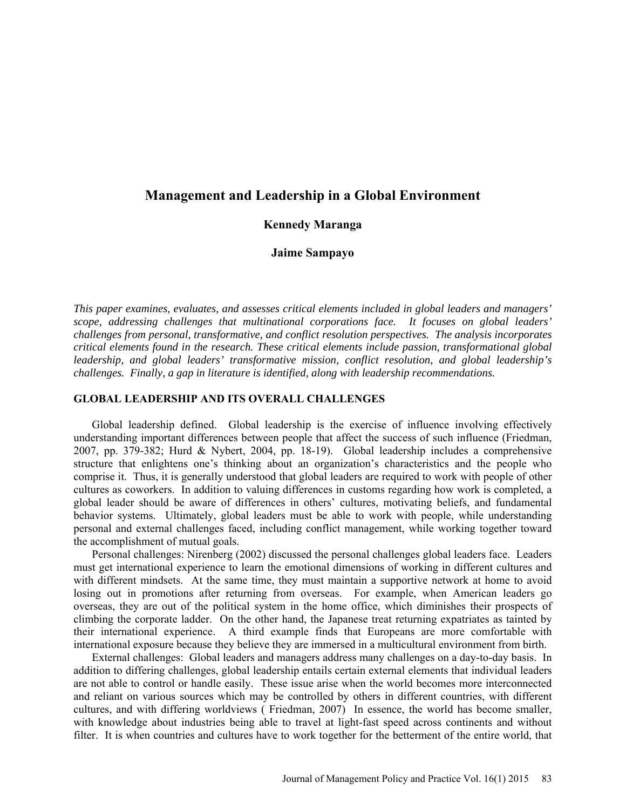# **Management and Leadership in a Global Environment**

## **Kennedy Maranga**

## **Jaime Sampayo**

*This paper examines, evaluates, and assesses critical elements included in global leaders and managers' scope, addressing challenges that multinational corporations face. It focuses on global leaders' challenges from personal, transformative, and conflict resolution perspectives. The analysis incorporates critical elements found in the research. These critical elements include passion, transformational global leadership, and global leaders' transformative mission, conflict resolution, and global leadership's challenges. Finally, a gap in literature is identified, along with leadership recommendations.* 

#### **GLOBAL LEADERSHIP AND ITS OVERALL CHALLENGES**

Global leadership defined. Global leadership is the exercise of influence involving effectively understanding important differences between people that affect the success of such influence (Friedman, 2007, pp. 379-382; Hurd & Nybert, 2004, pp. 18-19). Global leadership includes a comprehensive structure that enlightens one's thinking about an organization's characteristics and the people who comprise it. Thus, it is generally understood that global leaders are required to work with people of other cultures as coworkers. In addition to valuing differences in customs regarding how work is completed, a global leader should be aware of differences in others' cultures, motivating beliefs, and fundamental behavior systems. Ultimately, global leaders must be able to work with people, while understanding personal and external challenges faced, including conflict management, while working together toward the accomplishment of mutual goals.

Personal challenges: Nirenberg (2002) discussed the personal challenges global leaders face. Leaders must get international experience to learn the emotional dimensions of working in different cultures and with different mindsets. At the same time, they must maintain a supportive network at home to avoid losing out in promotions after returning from overseas. For example, when American leaders go overseas, they are out of the political system in the home office, which diminishes their prospects of climbing the corporate ladder. On the other hand, the Japanese treat returning expatriates as tainted by their international experience. A third example finds that Europeans are more comfortable with international exposure because they believe they are immersed in a multicultural environment from birth.

External challenges: Global leaders and managers address many challenges on a day-to-day basis. In addition to differing challenges, global leadership entails certain external elements that individual leaders are not able to control or handle easily. These issue arise when the world becomes more interconnected and reliant on various sources which may be controlled by others in different countries, with different cultures, and with differing worldviews ( Friedman, 2007) In essence, the world has become smaller, with knowledge about industries being able to travel at light-fast speed across continents and without filter. It is when countries and cultures have to work together for the betterment of the entire world, that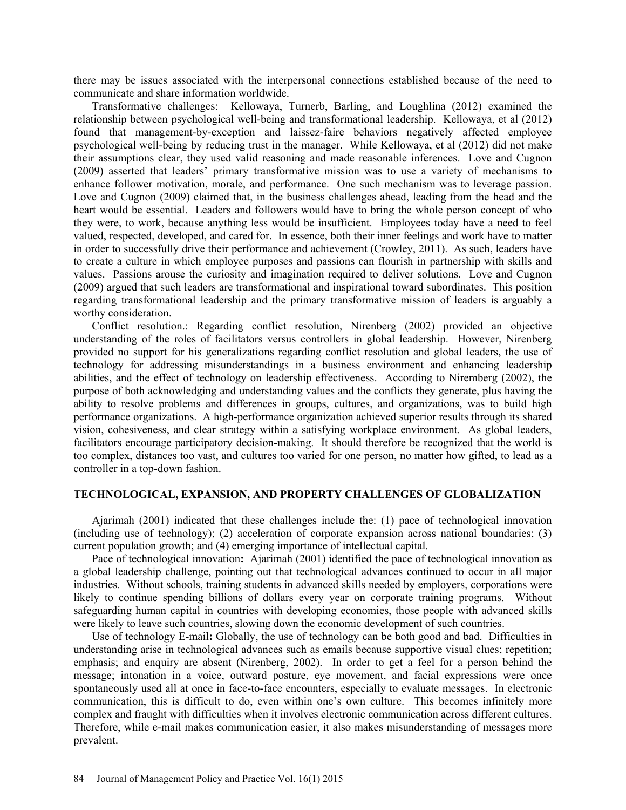there may be issues associated with the interpersonal connections established because of the need to communicate and share information worldwide.

Transformative challenges: Kellowaya, Turnerb, Barling, and Loughlina (2012) examined the relationship between psychological well-being and transformational leadership. Kellowaya, et al (2012) found that management-by-exception and laissez-faire behaviors negatively affected employee psychological well-being by reducing trust in the manager. While Kellowaya, et al (2012) did not make their assumptions clear, they used valid reasoning and made reasonable inferences. Love and Cugnon (2009) asserted that leaders' primary transformative mission was to use a variety of mechanisms to enhance follower motivation, morale, and performance. One such mechanism was to leverage passion. Love and Cugnon (2009) claimed that, in the business challenges ahead, leading from the head and the heart would be essential. Leaders and followers would have to bring the whole person concept of who they were, to work, because anything less would be insufficient. Employees today have a need to feel valued, respected, developed, and cared for. In essence, both their inner feelings and work have to matter in order to successfully drive their performance and achievement (Crowley, 2011). As such, leaders have to create a culture in which employee purposes and passions can flourish in partnership with skills and values. Passions arouse the curiosity and imagination required to deliver solutions. Love and Cugnon (2009) argued that such leaders are transformational and inspirational toward subordinates. This position regarding transformational leadership and the primary transformative mission of leaders is arguably a worthy consideration.

Conflict resolution.: Regarding conflict resolution, Nirenberg (2002) provided an objective understanding of the roles of facilitators versus controllers in global leadership. However, Nirenberg provided no support for his generalizations regarding conflict resolution and global leaders, the use of technology for addressing misunderstandings in a business environment and enhancing leadership abilities, and the effect of technology on leadership effectiveness. According to Niremberg (2002), the purpose of both acknowledging and understanding values and the conflicts they generate, plus having the ability to resolve problems and differences in groups, cultures, and organizations, was to build high performance organizations. A high-performance organization achieved superior results through its shared vision, cohesiveness, and clear strategy within a satisfying workplace environment. As global leaders, facilitators encourage participatory decision-making. It should therefore be recognized that the world is too complex, distances too vast, and cultures too varied for one person, no matter how gifted, to lead as a controller in a top-down fashion.

#### **TECHNOLOGICAL, EXPANSION, AND PROPERTY CHALLENGES OF GLOBALIZATION**

Ajarimah (2001) indicated that these challenges include the: (1) pace of technological innovation (including use of technology); (2) acceleration of corporate expansion across national boundaries; (3) current population growth; and (4) emerging importance of intellectual capital.

Pace of technological innovation**:** Ajarimah (2001) identified the pace of technological innovation as a global leadership challenge, pointing out that technological advances continued to occur in all major industries. Without schools, training students in advanced skills needed by employers, corporations were likely to continue spending billions of dollars every year on corporate training programs. Without safeguarding human capital in countries with developing economies, those people with advanced skills were likely to leave such countries, slowing down the economic development of such countries.

Use of technology E-mail**:** Globally, the use of technology can be both good and bad. Difficulties in understanding arise in technological advances such as emails because supportive visual clues; repetition; emphasis; and enquiry are absent (Nirenberg, 2002). In order to get a feel for a person behind the message; intonation in a voice, outward posture, eye movement, and facial expressions were once spontaneously used all at once in face-to-face encounters, especially to evaluate messages. In electronic communication, this is difficult to do, even within one's own culture. This becomes infinitely more complex and fraught with difficulties when it involves electronic communication across different cultures. Therefore, while e-mail makes communication easier, it also makes misunderstanding of messages more prevalent.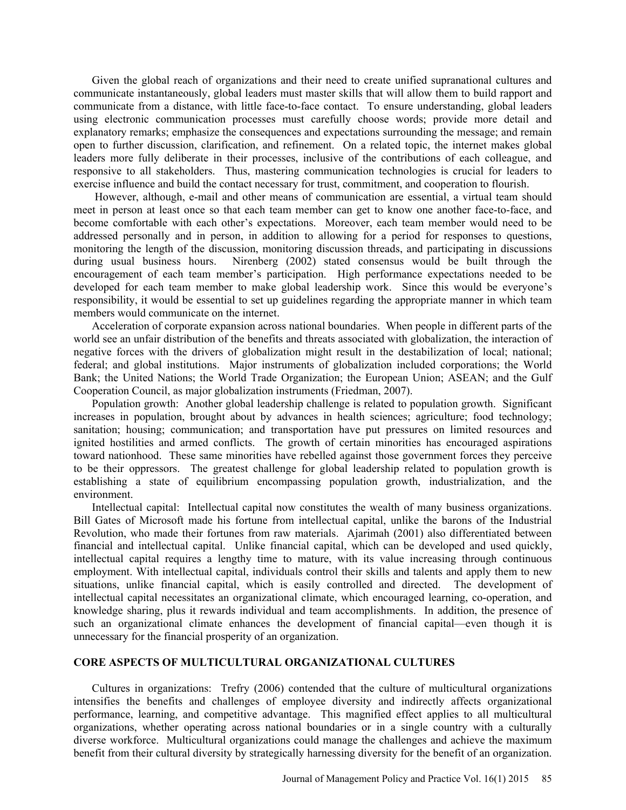Given the global reach of organizations and their need to create unified supranational cultures and communicate instantaneously, global leaders must master skills that will allow them to build rapport and communicate from a distance, with little face-to-face contact. To ensure understanding, global leaders using electronic communication processes must carefully choose words; provide more detail and explanatory remarks; emphasize the consequences and expectations surrounding the message; and remain open to further discussion, clarification, and refinement. On a related topic, the internet makes global leaders more fully deliberate in their processes, inclusive of the contributions of each colleague, and responsive to all stakeholders. Thus, mastering communication technologies is crucial for leaders to exercise influence and build the contact necessary for trust, commitment, and cooperation to flourish.

 However, although, e-mail and other means of communication are essential, a virtual team should meet in person at least once so that each team member can get to know one another face-to-face, and become comfortable with each other's expectations. Moreover, each team member would need to be addressed personally and in person, in addition to allowing for a period for responses to questions, monitoring the length of the discussion, monitoring discussion threads, and participating in discussions during usual business hours. Nirenberg (2002) stated consensus would be built through the encouragement of each team member's participation. High performance expectations needed to be developed for each team member to make global leadership work. Since this would be everyone's responsibility, it would be essential to set up guidelines regarding the appropriate manner in which team members would communicate on the internet.

Acceleration of corporate expansion across national boundaries. When people in different parts of the world see an unfair distribution of the benefits and threats associated with globalization, the interaction of negative forces with the drivers of globalization might result in the destabilization of local; national; federal; and global institutions. Major instruments of globalization included corporations; the World Bank; the United Nations; the World Trade Organization; the European Union; ASEAN; and the Gulf Cooperation Council, as major globalization instruments (Friedman, 2007).

Population growth: Another global leadership challenge is related to population growth. Significant increases in population, brought about by advances in health sciences; agriculture; food technology; sanitation; housing; communication; and transportation have put pressures on limited resources and ignited hostilities and armed conflicts. The growth of certain minorities has encouraged aspirations toward nationhood. These same minorities have rebelled against those government forces they perceive to be their oppressors. The greatest challenge for global leadership related to population growth is establishing a state of equilibrium encompassing population growth, industrialization, and the environment.

Intellectual capital: Intellectual capital now constitutes the wealth of many business organizations. Bill Gates of Microsoft made his fortune from intellectual capital, unlike the barons of the Industrial Revolution, who made their fortunes from raw materials. Ajarimah (2001) also differentiated between financial and intellectual capital. Unlike financial capital, which can be developed and used quickly, intellectual capital requires a lengthy time to mature, with its value increasing through continuous employment. With intellectual capital, individuals control their skills and talents and apply them to new situations, unlike financial capital, which is easily controlled and directed. The development of intellectual capital necessitates an organizational climate, which encouraged learning, co-operation, and knowledge sharing, plus it rewards individual and team accomplishments. In addition, the presence of such an organizational climate enhances the development of financial capital—even though it is unnecessary for the financial prosperity of an organization.

## **CORE ASPECTS OF MULTICULTURAL ORGANIZATIONAL CULTURES**

Cultures in organizations: Trefry (2006) contended that the culture of multicultural organizations intensifies the benefits and challenges of employee diversity and indirectly affects organizational performance, learning, and competitive advantage. This magnified effect applies to all multicultural organizations, whether operating across national boundaries or in a single country with a culturally diverse workforce. Multicultural organizations could manage the challenges and achieve the maximum benefit from their cultural diversity by strategically harnessing diversity for the benefit of an organization.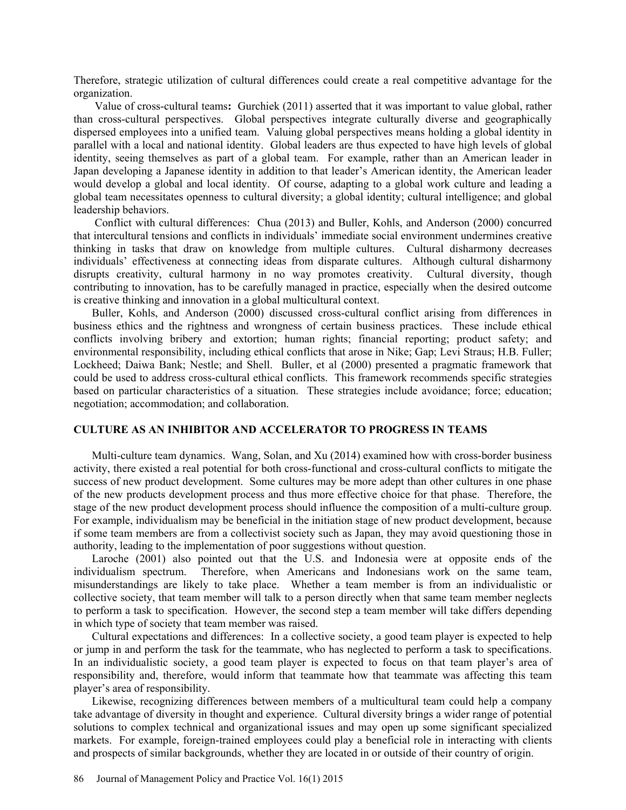Therefore, strategic utilization of cultural differences could create a real competitive advantage for the organization.

Value of cross-cultural teams**:** Gurchiek (2011) asserted that it was important to value global, rather than cross-cultural perspectives. Global perspectives integrate culturally diverse and geographically dispersed employees into a unified team. Valuing global perspectives means holding a global identity in parallel with a local and national identity. Global leaders are thus expected to have high levels of global identity, seeing themselves as part of a global team. For example, rather than an American leader in Japan developing a Japanese identity in addition to that leader's American identity, the American leader would develop a global and local identity. Of course, adapting to a global work culture and leading a global team necessitates openness to cultural diversity; a global identity; cultural intelligence; and global leadership behaviors.

Conflict with cultural differences: Chua (2013) and Buller, Kohls, and Anderson (2000) concurred that intercultural tensions and conflicts in individuals' immediate social environment undermines creative thinking in tasks that draw on knowledge from multiple cultures. Cultural disharmony decreases individuals' effectiveness at connecting ideas from disparate cultures. Although cultural disharmony disrupts creativity, cultural harmony in no way promotes creativity. Cultural diversity, though contributing to innovation, has to be carefully managed in practice, especially when the desired outcome is creative thinking and innovation in a global multicultural context.

Buller, Kohls, and Anderson (2000) discussed cross-cultural conflict arising from differences in business ethics and the rightness and wrongness of certain business practices. These include ethical conflicts involving bribery and extortion; human rights; financial reporting; product safety; and environmental responsibility, including ethical conflicts that arose in Nike; Gap; Levi Straus; H.B. Fuller; Lockheed; Daiwa Bank; Nestle; and Shell. Buller, et al (2000) presented a pragmatic framework that could be used to address cross-cultural ethical conflicts. This framework recommends specific strategies based on particular characteristics of a situation. These strategies include avoidance; force; education; negotiation; accommodation; and collaboration.

### **CULTURE AS AN INHIBITOR AND ACCELERATOR TO PROGRESS IN TEAMS**

Multi-culture team dynamics. Wang, Solan, and Xu (2014) examined how with cross-border business activity, there existed a real potential for both cross-functional and cross-cultural conflicts to mitigate the success of new product development. Some cultures may be more adept than other cultures in one phase of the new products development process and thus more effective choice for that phase. Therefore, the stage of the new product development process should influence the composition of a multi-culture group. For example, individualism may be beneficial in the initiation stage of new product development, because if some team members are from a collectivist society such as Japan, they may avoid questioning those in authority, leading to the implementation of poor suggestions without question.

Laroche (2001) also pointed out that the U.S. and Indonesia were at opposite ends of the individualism spectrum. Therefore, when Americans and Indonesians work on the same team, misunderstandings are likely to take place. Whether a team member is from an individualistic or collective society, that team member will talk to a person directly when that same team member neglects to perform a task to specification. However, the second step a team member will take differs depending in which type of society that team member was raised.

Cultural expectations and differences: In a collective society, a good team player is expected to help or jump in and perform the task for the teammate, who has neglected to perform a task to specifications. In an individualistic society, a good team player is expected to focus on that team player's area of responsibility and, therefore, would inform that teammate how that teammate was affecting this team player's area of responsibility.

Likewise, recognizing differences between members of a multicultural team could help a company take advantage of diversity in thought and experience. Cultural diversity brings a wider range of potential solutions to complex technical and organizational issues and may open up some significant specialized markets. For example, foreign-trained employees could play a beneficial role in interacting with clients and prospects of similar backgrounds, whether they are located in or outside of their country of origin.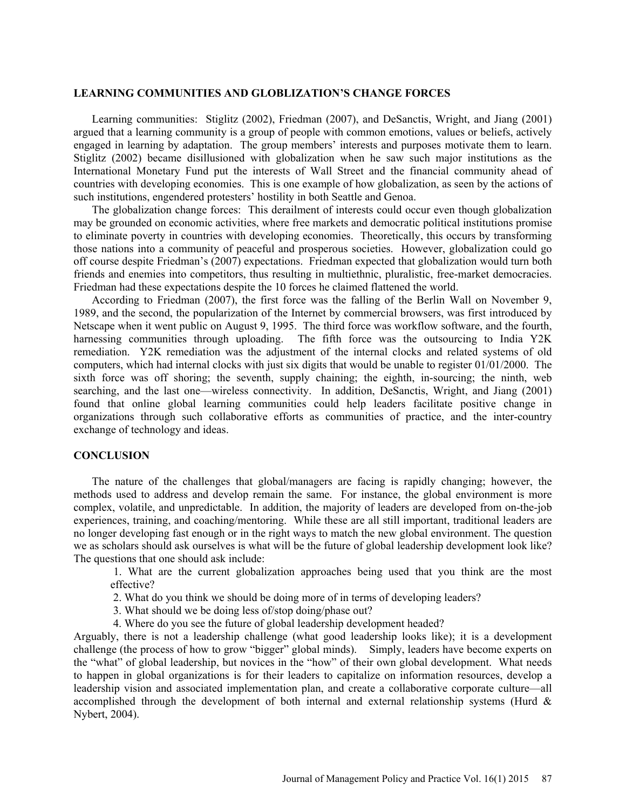### **LEARNING COMMUNITIES AND GLOBLIZATION'S CHANGE FORCES**

Learning communities: Stiglitz (2002), Friedman (2007), and DeSanctis, Wright, and Jiang (2001) argued that a learning community is a group of people with common emotions, values or beliefs, actively engaged in learning by adaptation. The group members' interests and purposes motivate them to learn. Stiglitz (2002) became disillusioned with globalization when he saw such major institutions as the International Monetary Fund put the interests of Wall Street and the financial community ahead of countries with developing economies. This is one example of how globalization, as seen by the actions of such institutions, engendered protesters' hostility in both Seattle and Genoa.

The globalization change forces: This derailment of interests could occur even though globalization may be grounded on economic activities, where free markets and democratic political institutions promise to eliminate poverty in countries with developing economies. Theoretically, this occurs by transforming those nations into a community of peaceful and prosperous societies. However, globalization could go off course despite Friedman's (2007) expectations. Friedman expected that globalization would turn both friends and enemies into competitors, thus resulting in multiethnic, pluralistic, free-market democracies. Friedman had these expectations despite the 10 forces he claimed flattened the world.

According to Friedman (2007), the first force was the falling of the Berlin Wall on November 9, 1989, and the second, the popularization of the Internet by commercial browsers, was first introduced by Netscape when it went public on August 9, 1995. The third force was workflow software, and the fourth, harnessing communities through uploading. The fifth force was the outsourcing to India Y2K remediation. Y2K remediation was the adjustment of the internal clocks and related systems of old computers, which had internal clocks with just six digits that would be unable to register 01/01/2000. The sixth force was off shoring; the seventh, supply chaining; the eighth, in-sourcing; the ninth, web searching, and the last one—wireless connectivity. In addition, DeSanctis, Wright, and Jiang (2001) found that online global learning communities could help leaders facilitate positive change in organizations through such collaborative efforts as communities of practice, and the inter-country exchange of technology and ideas.

#### **CONCLUSION**

The nature of the challenges that global/managers are facing is rapidly changing; however, the methods used to address and develop remain the same. For instance, the global environment is more complex, volatile, and unpredictable. In addition, the majority of leaders are developed from on-the-job experiences, training, and coaching/mentoring. While these are all still important, traditional leaders are no longer developing fast enough or in the right ways to match the new global environment. The question we as scholars should ask ourselves is what will be the future of global leadership development look like? The questions that one should ask include:

1. What are the current globalization approaches being used that you think are the most effective?

- 2. What do you think we should be doing more of in terms of developing leaders?
- 3. What should we be doing less of/stop doing/phase out?
- 4. Where do you see the future of global leadership development headed?

Arguably, there is not a leadership challenge (what good leadership looks like); it is a development challenge (the process of how to grow "bigger" global minds). Simply, leaders have become experts on the "what" of global leadership, but novices in the "how" of their own global development. What needs to happen in global organizations is for their leaders to capitalize on information resources, develop a leadership vision and associated implementation plan, and create a collaborative corporate culture—all accomplished through the development of both internal and external relationship systems (Hurd  $\&$ Nybert, 2004).